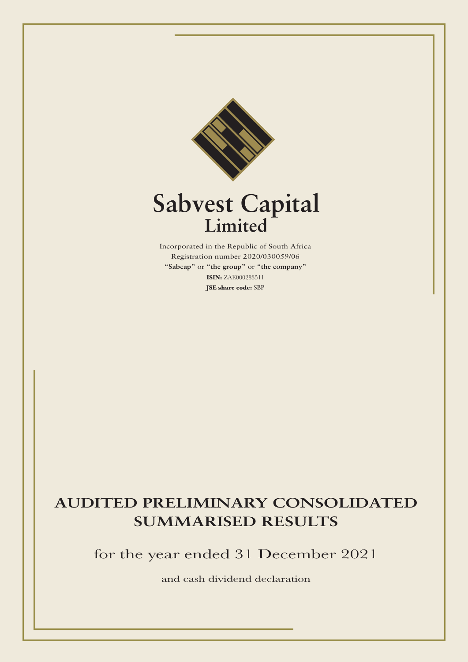

# **Sabvest Capital Limited**

Incorporated in the Republic of South Africa Registration number 2020/030059/06 "**Sabcap**" or "**the group**" or "**the company**" **ISIN:** ZAE000283511 **JSE share code:** SBP

## **AUDITED PRELIMINARY CONSOLIDATED SUMMARISED RESULTS**

for the year ended 31 December 2021

and cash dividend declaration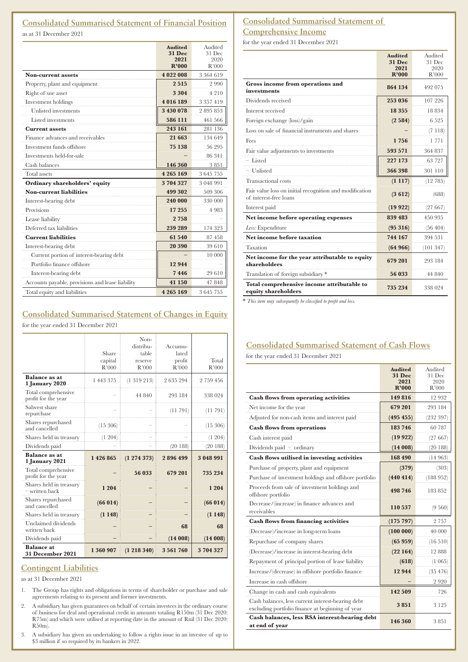## **Consolidated Summarised Statement of Financial Position**

as at 31 December 2021

|                                                  | <b>Audited</b><br><b>31 Dec</b> | Audited<br>31 Dec |
|--------------------------------------------------|---------------------------------|-------------------|
|                                                  | 2021                            | 2020              |
|                                                  | R'000                           | R'000             |
| <b>Non-current assets</b>                        | 4 022 008                       | 3 3 6 4 6 1 9     |
| Property, plant and equipment                    | 2515                            | 2990              |
| Right of use asset                               | 3 3 0 4                         | 4210              |
| Investment holdings                              | 4016189                         | 3 357 419         |
| Unlisted investments                             | 3 430 078                       | 2895853           |
| Listed investments                               | 586 111                         | 461 566           |
| <b>Current assets</b>                            | 243 161                         | 281 136           |
| Finance advances and receivables                 | 21 663                          | 134 649           |
| Investment funds offshore                        | 75 138                          | 56 295            |
| Investments held-for-sale                        |                                 | 86 341            |
| Cash balances                                    | 146 360                         | 3851              |
| Total assets                                     | 4 2 6 5 1 6 9                   | 3645755           |
| Ordinary shareholders' equity                    | 3704327                         | 3 048 991         |
| <b>Non-current liabilities</b>                   | 499 302                         | 509 306           |
| Interest-bearing debt                            | 240 000                         | 330 000           |
| Provisions                                       | 17 255                          | 4983              |
| Lease liability                                  | 2758                            |                   |
| Deferred tax liabilities                         | 239 289                         | 174 323           |
| <b>Current liabilities</b>                       | 61 540                          | 87458             |
| Interest-bearing debt                            | 20 390                          | 39 610            |
| Current portion of interest-bearing debt         |                                 | 10 000            |
| Portfolio finance offshore                       | 12 944                          |                   |
| Interest-bearing debt                            | 7446                            | 29 610            |
| Accounts payable, provisions and lease liability | 41 150                          | 47 848            |
| Total equity and liabilities                     | 4 2 6 5 1 6 9                   | 3645755           |

## **Consolidated Summarised Statement of Changes in Equity**

for the year ended 31 December 2021

|                                            | Share<br>capital<br>R'000 | Non-<br>distribu-<br>table<br>reserve<br>R'000 | Accumu-<br>lated<br>profit<br>R'000 | Total<br>R'000 |
|--------------------------------------------|---------------------------|------------------------------------------------|-------------------------------------|----------------|
| <b>Balance</b> as at<br>1 January 2020     | 1 443 375                 | (1319213)                                      | 2635294                             | 2 759 456      |
| Total comprehensive<br>profit for the year |                           | 44 840                                         | 293 184                             | 338 024        |
| Sabvest share<br>repurchase                |                           |                                                | (11791)                             | (11791)        |
| Shares repurchased<br>and cancelled        | (15 306)                  |                                                |                                     | (15 306)       |
| Shares held in treasury                    | (1 204)                   |                                                |                                     | (1 204)        |
| Dividends paid                             |                           |                                                | (20188)                             | (20188)        |
| <b>Balance as at</b><br>1 January 2021     | 1 426 865                 | $(1\;274\;373)$                                | 2896499                             | 3 048 991      |
| Total comprehensive<br>profit for the year |                           | 56 033                                         | 679 201                             | 735 234        |
| Shares held in treasury<br>- written back  | 1 2 0 4                   |                                                |                                     | 1 2 0 4        |
| Shares repurchased<br>and cancelled        | (66014)                   |                                                |                                     | (66014)        |
| Shares held in treasury                    | (1148)                    |                                                |                                     | (1148)         |
| Unclaimed dividends<br>written back        |                           |                                                | 68                                  | 68             |
| Dividends paid                             |                           |                                                | (14008)                             | (14008)        |
| <b>Balance</b> at<br>31 December 2021      | 1 360 907                 | (1 218 340)                                    | 3 5 6 1 7 6 0                       | 3704327        |

## **Contingent Liabilities**

as at 31 December 2021

- 1. The Group has rights and obligations in terms of shareholder or purchase and sale agreements relating to its present and former investments.
- 2. A subsidiary has given guarantees on behalf of certain investees in the ordinary course of business for deal and operational credit in amounts totaling R150m (31 Dec 2020: R75m) and which were utilised at reporting date in the amount of Rnil (31 Dec 2020: R50m).
- 3. A subsidiary has given an undertaking to follow a rights issue in an investee of up to \$3 million if so required by its bankers in 2022.

## **Consolidated Summarised Statement of Comprehensive Income**

for the year ended 31 December 2021

|                                                                                   | <b>Audited</b><br><b>31 Dec</b> | Audited<br>31 Dec |
|-----------------------------------------------------------------------------------|---------------------------------|-------------------|
|                                                                                   | 2021<br>R'000                   | 2020<br>R'000     |
| Gross income from operations and<br>investments                                   | 864 134                         | 492 075           |
| Dividends received                                                                | 253 036                         | 107 226           |
| Interest received                                                                 | 18 3 5 5                        | 18834             |
| Foreign exchange (loss)/gain                                                      | (2584)                          | 6 5 2 5           |
| Loss on sale of financial instruments and shares                                  |                                 | (7118)            |
| Fees                                                                              | 1756                            | 1 7 7 1           |
| Fair value adjustments to investments                                             | 593 571                         | 364 837           |
| - Listed                                                                          | 227 173                         | 63 727            |
| $-$ Unlisted                                                                      | 366 398                         | 301 110           |
| Transactional costs                                                               | (1117)                          | (12785)           |
| Fair value loss on initial recognition and modification<br>of interest-free loans | (3612)                          | (688)             |
| Interest paid                                                                     | (19922)                         | (27 667)          |
| Net income before operating expenses                                              | 839 483                         | 450 935           |
| Less: Expenditure                                                                 | (95316)                         | (56, 404)         |
| Net income before taxation                                                        | 744 167                         | 394 531           |
| Taxation                                                                          | (64966)                         | (101347)          |
| Net income for the year attributable to equity<br>shareholders                    | 679 201                         | 293 184           |
| Translation of foreign subsidiary *                                               | 56 033                          | 44 840            |
| Total comprehensive income attributable to<br>equity shareholders                 | 735 234                         | 338 024           |

\* *This item may subsequently be classified to profit and loss.*

## **Consolidated Summarised Statement of Cash Flows**

for the year ended 31 December 2021

|                                                                                                       | <b>Audited</b>        | Audited        |
|-------------------------------------------------------------------------------------------------------|-----------------------|----------------|
|                                                                                                       | <b>31 Dec</b><br>2021 | 31 Dec<br>2020 |
|                                                                                                       | R'000                 | R'000          |
| <b>Cash flows from operating activities</b>                                                           | 149816                | 12932          |
| Net income for the year                                                                               | 679 201               | 293 184        |
| Adjusted for non-cash items and interest paid                                                         | (495 455)             | (232 397)      |
| <b>Cash flows from operations</b>                                                                     | 183 746               | 60 787         |
| Cash interest paid                                                                                    | (19922)               | (27667)        |
| Dividends paid $-$ ordinary                                                                           | (14008)               | (20188)        |
| Cash flows utilised in investing activities                                                           | 168 490               | (14963)        |
| Purchase of property, plant and equipment                                                             | (379)                 | (303)          |
| Purchase of investment holdings and offshore portfolio                                                | (440 414)             | (188952)       |
| Proceeds from sale of investment holdings and<br>offshore portfolio                                   | 498 746               | 183852         |
| Decrease/(increase) in finance advances and<br>receivables                                            | 110 537               | (9 560)        |
| <b>Cash flows from financing activities</b>                                                           | (175 797)             | 2 7 5 7        |
| (Decrease)/increase in long-term loans                                                                | (100000)              | 40 000         |
| Repurchase of company shares                                                                          | (65959)               | (16510)        |
| (Decrease)/increase in interest-bearing debt                                                          | (22164)               | 12888          |
| Repayment of principal portion of lease liability                                                     | (618)                 | $(1\ 065)$     |
| Increase/(decrease) in offshore portfolio finance                                                     | 12 944                | (35 476)       |
| Increase in cash offshore                                                                             |                       | 2920           |
| Change in cash and cash equivalents                                                                   | 142 509               | 726            |
| Cash balances, less current interest-bearing debt<br>excluding portfolio finance at beginning of year | 3851                  | 3 1 2 5        |
| Cash balances, less RSA interest-bearing debt<br>at end of year                                       | 146 360               | 3851           |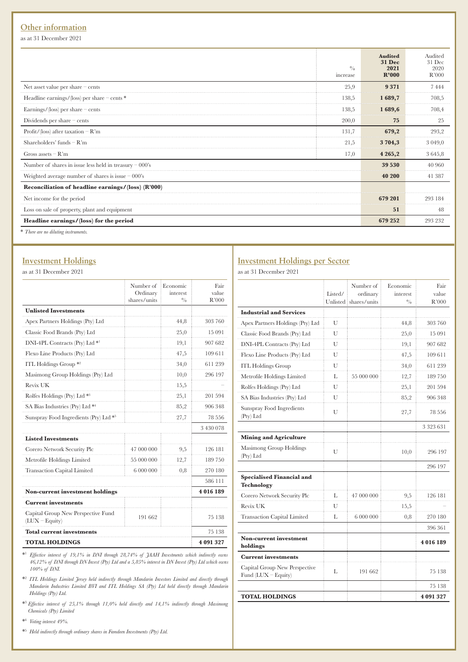## **Other information**

as at 31 December 2021

|                                                                                                                                                                                                                                                                                               | $^{0}/_{0}$<br>increase | <b>Audited</b><br><b>31 Dec</b><br>2021<br>R'000 | Audited<br>31 Dec<br>2020<br>R'000 |
|-----------------------------------------------------------------------------------------------------------------------------------------------------------------------------------------------------------------------------------------------------------------------------------------------|-------------------------|--------------------------------------------------|------------------------------------|
| Net asset value per share $-$ cents                                                                                                                                                                                                                                                           | 25,9                    | 9371                                             | 7444                               |
| Headline earnings/(loss) per share $-$ cents $*$                                                                                                                                                                                                                                              | 138.5                   | 1689,7                                           | 708,5                              |
| Earnings/ $\langle$ loss) per share – cents                                                                                                                                                                                                                                                   | 138,5                   | 1689,6                                           | 708,4                              |
| Dividends per share $-$ cents                                                                                                                                                                                                                                                                 | 200,0                   | 75                                               | 25                                 |
| Profit/(loss) after taxation $-R'm$                                                                                                                                                                                                                                                           | 131,7                   | 679,2                                            | 293,2                              |
| Shareholders' funds $-R'm$                                                                                                                                                                                                                                                                    | 21,5                    | 3 704,3                                          | 3 0 4 9 0                          |
| Gross assets $-R'm$                                                                                                                                                                                                                                                                           | 17,0                    | 4 2 6 5 , 2                                      | 3645,8                             |
| Number of shares in issue less held in treasury $-000$ 's                                                                                                                                                                                                                                     |                         | 39 530                                           | 40 960                             |
| Weighted average number of shares is issue $-000$ 's                                                                                                                                                                                                                                          |                         | 40 200                                           | 41 387                             |
| Reconciliation of headline earnings/(loss) (R'000)                                                                                                                                                                                                                                            |                         |                                                  |                                    |
| Net income for the period                                                                                                                                                                                                                                                                     |                         | 679 201                                          | 293 184                            |
| Loss on sale of property, plant and equipment                                                                                                                                                                                                                                                 |                         | 51                                               | 48                                 |
| Headline earnings/(loss) for the period                                                                                                                                                                                                                                                       |                         | 679 252                                          | 293 232                            |
| $\frac{1}{2}$ and $\frac{1}{2}$ and $\frac{1}{2}$ and $\frac{1}{2}$ and $\frac{1}{2}$ and $\frac{1}{2}$ and $\frac{1}{2}$ and $\frac{1}{2}$ and $\frac{1}{2}$ and $\frac{1}{2}$ and $\frac{1}{2}$ and $\frac{1}{2}$ and $\frac{1}{2}$ and $\frac{1}{2}$ and $\frac{1}{2}$ and $\frac{1}{2}$ a |                         |                                                  |                                    |

\* *There are no diluting instruments.*

### **Investment Holdings**

as at 31 December 2021

|                                                        | Number of<br>Ordinary<br>shares/units | : Economic<br>interest<br>$^{0/6}$ | Fair<br>value<br>R'000 |
|--------------------------------------------------------|---------------------------------------|------------------------------------|------------------------|
| <b>Unlisted Investments</b>                            |                                       |                                    |                        |
| Apex Partners Holdings (Pty) Ltd                       |                                       | 44,8                               | 303 760                |
| Classic Food Brands (Pty) Ltd                          |                                       | 25,0                               | 15 091                 |
| DNI-4PL Contracts (Pty) Ltd *1                         |                                       | 19,1                               | 907 682                |
| Flexo Line Products (Pty) Ltd                          |                                       | 47,5                               | 109 611                |
| ITL Holdings Group $*$ <sup>2</sup>                    |                                       | 34,0                               | 611 239                |
| Masimong Group Holdings (Pty) Ltd                      |                                       | 10,0                               | 296 197                |
| Revix UK                                               |                                       | 15,5                               |                        |
| Rolfes Holdings (Pty) Ltd *3                           |                                       | 25,1                               | 201 594                |
| SA Bias Industries (Pty) Ltd *4                        |                                       | 85,2                               | 906 348                |
| Sunspray Food Ingredients (Pty) Ltd *5                 |                                       | 27,7                               | 78 556                 |
|                                                        |                                       |                                    | 3 430 078              |
| <b>Listed Investments</b>                              |                                       |                                    |                        |
| Corero Network Security Plc                            | 47 000 000                            | 9,5                                | 126 181                |
| Metrofile Holdings Limited                             | 55 000 000                            | 12,7                               | 189 750                |
| <b>Transaction Capital Limited</b>                     | 6 000 000                             | 0,8                                | 270 180                |
|                                                        |                                       |                                    | 586 111                |
| <b>Non-current investment holdings</b>                 |                                       |                                    | 4 016 189              |
| <b>Current investments</b>                             |                                       |                                    |                        |
| Capital Group New Perspective Fund<br>$(LUX - Equity)$ | 191 662                               |                                    | 75 138                 |
| <b>Total current investments</b>                       |                                       |                                    | 75 138                 |
| <b>TOTAL HOLDINGS</b>                                  |                                       |                                    | 4 091 327              |

\*1 *Effective interest of 19,1% in DNI through 28,74% of JAAH Investments which indirectly owns 46,12% of DNI through DN Invest (Pty) Ltd and a 5,85% interest in DN Invest (Pty) Ltd which owns 100% of DNI.*

\*2  *ITL Holdings Limited Jersey held indirectly through Mandarin Investors Limited and directly through Mandarin Industries Limited BVI and ITL Holdings SA (Pty) Ltd held directly through Mandarin Holdings (Pty) Ltd.*

\*3 *Effective interest of 25,1% through 11,0% held directly and 14,1% indirectly through Masimong Chemicals (Pty) Limited*

\*4  *Voting interest 49%.*

\*5  *Held indirectly through ordinary shares in Famdeen Investments (Pty) Ltd.*

## **Investment Holdings per Sector**

as at 31 December 2021

|                                                        | Listed/ | Number of<br>ordinary<br>Unlisted ishares/units | Economic<br>interest<br>$^{0/6}$ | Fair<br>value<br>R'000 |
|--------------------------------------------------------|---------|-------------------------------------------------|----------------------------------|------------------------|
| <b>Industrial and Services</b>                         |         |                                                 |                                  |                        |
| Apex Partners Holdings (Pty) Ltd                       | U       |                                                 | 44,8                             | 303 760                |
| Classic Food Brands (Pty) Ltd                          | U       |                                                 | 25,0                             | 15 091                 |
| DNI-4PL Contracts (Pty) Ltd                            | U       |                                                 | 19,1                             | 907 682                |
| Flexo Line Products (Pty) Ltd                          | U       |                                                 | 47,5                             | 109 611                |
| <b>ITL Holdings Group</b>                              | U       |                                                 | 34,0                             | 611 239                |
| Metrofile Holdings Limited                             | L       | 55 000 000                                      | 12,7                             | 189 750                |
| Rolfes Holdings (Pty) Ltd                              | U       |                                                 | 25,1                             | 201 594                |
| SA Bias Industries (Pty) Ltd                           | U       |                                                 | 85,2                             | 906 348                |
| Sunspray Food Ingredients<br>(Pty) Ltd                 | U       |                                                 | 27,7                             | 78 556                 |
|                                                        |         |                                                 |                                  | 3 323 631              |
| <b>Mining and Agriculture</b>                          |         |                                                 |                                  |                        |
| Masimong Group Holdings<br>(Pty) Ltd                   | U       |                                                 | 10,0                             | 296 197                |
|                                                        |         |                                                 |                                  | 296 197                |
| <b>Specialised Financial and</b><br>Technology         |         |                                                 |                                  |                        |
| Corero Network Security Plc                            | L       | 47 000 000                                      | 9,5                              | 126 181                |
| Revix UK                                               | U       |                                                 | 15,5                             |                        |
| <b>Transaction Capital Limited</b>                     | L       | 6 000 000                                       | $_{0,8}$                         | 270 180                |
|                                                        |         |                                                 |                                  | 396 361                |
| <b>Non-current investment</b><br>holdings              |         |                                                 |                                  | 4016189                |
| <b>Current investments</b>                             |         |                                                 |                                  |                        |
| Capital Group New Perspective<br>Fund $(LUX - Equity)$ | L       | 191 662                                         |                                  | 75 138                 |
|                                                        |         |                                                 |                                  | 75 138                 |
| <b>TOTAL HOLDINGS</b>                                  |         |                                                 |                                  | 4 091 327              |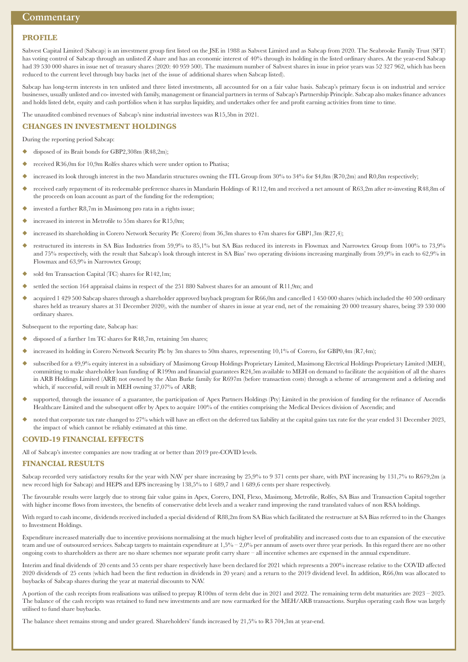#### **PROFILE**

Sabvest Capital Limited (Sabcap) is an investment group first listed on the JSE in 1988 as Sabvest Limited and as Sabcap from 2020. The Seabrooke Family Trust (SFT) has voting control of Sabcap through an unlisted Z share and has an economic interest of 40% through its holding in the listed ordinary shares. At the year-end Sabcap had 39 530 000 shares in issue net of treasury shares (2020: 40 959 500). The maximum number of Sabvest shares in issue in prior years was 52 327 962, which has been reduced to the current level through buy backs (net of the issue of additional shares when Sabcap listed).

Sabcap has long-term interests in ten unlisted and three listed investments, all accounted for on a fair value basis. Sabcap's primary focus is on industrial and service businesses, usually unlisted and co- invested with family, management or financial partners in terms of Sabcap's Partnership Principle. Sabcap also makes finance advances and holds listed debt, equity and cash portfolios when it has surplus liquidity, and undertakes other fee and profit earning activities from time to time.

The unaudited combined revenues of Sabcap's nine industrial investees was R15,5bn in 2021.

#### **CHANGES IN INVESTMENT HOLDINGS**

During the reporting period Sabcap:

- disposed of its Brait bonds for GBP2,308m (R48,2m);
- received R36,0m for 10,9m Rolfes shares which were under option to Phatisa;
- increased its look through interest in the two Mandarin structures owning the ITL Group from 30% to 34% for \$4,8m (R70,2m) and R0,8m respectively;
- received early repayment of its redeemable preference shares in Mandarin Holdings of R112,4m and received a net amount of R63,2m after re-investing R48,8m of the proceeds on loan account as part of the funding for the redemption;
- invested a further  $R8,7m$  in Masimong pro rata in a rights issue;
- increased its interest in Metrofile to 55m shares for R15,0m;
- increased its shareholding in Corero Network Security Plc (Corero) from 36,3m shares to 47m shares for GBP1,3m (R27,4);
- restructured its interests in SA Bias Industries from 59,9% to 85,1% but SA Bias reduced its interests in Flowmax and Narrowtex Group from 100% to 73,9% and 75% respectively, with the result that Sabcap's look through interest in SA Bias' two operating divisions increasing marginally from 59,9% in each to 62,9% in Flowmax and 63,9% in Narrowtex Group;
- sold 4m Transaction Capital (TC) shares for  $R142,1m$ ;
- settled the section 164 appraisal claims in respect of the 251 880 Sabvest shares for an amount of R11,9m; and
- u acquired 1 429 500 Sabcap shares through a shareholder approved buyback program for R66,0m and cancelled 1 450 000 shares (which included the 40 500 ordinary shares held as treasury shares at 31 December 2020), with the number of shares in issue at year end, net of the remaining 20 000 treasury shares, being 39 530 000 ordinary shares.

Subsequent to the reporting date, Sabcap has:

- disposed of a further 1m TC shares for R48,7m, retaining 5m shares;
- increased its holding in Corero Network Security Plc by 3m shares to 50m shares, representing 10,1% of Corero, for GBP0,4m (R7,4m);
- u subscribed for a 49,9% equity interest in a subsidiary of Masimong Group Holdings Proprietary Limited, Masimong Electrical Holdings Proprietary Limited (MEH), committing to make shareholder loan funding of R199m and financial guarantees R24,5m available to MEH on demand to facilitate the acquisition of all the shares in ARB Holdings Limited (ARB) not owned by the Alan Burke family for R697m (before transaction costs) through a scheme of arrangement and a delisting and which, if successful, will result in MEH owning 37,07% of ARB;
- supported, through the issuance of a guarantee, the participation of Apex Partners Holdings (Pty) Limited in the provision of funding for the refinance of Ascendis Healthcare Limited and the subsequent offer by Apex to acquire 100% of the entities comprising the Medical Devices division of Ascendis; and
- noted that corporate tax rate changed to 27% which will have an effect on the deferred tax liability at the capital gains tax rate for the year ended 31 December 2023, the impact of which cannot be reliably estimated at this time.

#### **COVID-19 FINANCIAL EFFECTS**

All of Sabcap's investee companies are now trading at or better than 2019 pre-COVID levels.

#### **FINANCIAL RESULTS**

Sabcap recorded very satisfactory results for the year with NAV per share increasing by 25,9% to 9 371 cents per share, with PAT increasing by 131,7% to R679,2m (a new record high for Sabcap) and HEPS and EPS increasing by 138,5% to 1 689,7 and 1 689,6 cents per share respectively.

The favourable results were largely due to strong fair value gains in Apex, Corero, DNI, Flexo, Masimong, Metrofile, Rolfes, SA Bias and Transaction Capital together with higher income flows from investees, the benefits of conservative debt levels and a weaker rand improving the rand translated values of non RSA holdings.

With regard to cash income, dividends received included a special dividend of R88,2m from SA Bias which facilitated the restructure at SA Bias referred to in the Changes to Investment Holdings.

Expenditure increased materially due to incentive provisions normalising at the much higher level of profitability and increased costs due to an expansion of the executive team and use of outsourced services. Sabcap targets to maintain expenditure at  $1,5% - 2,0%$  per annum of assets over three year periods. In this regard there are no other ongoing costs to shareholders as there are no share schemes nor separate profit carry share – all incentive schemes are expensed in the annual expenditure.

Interim and final dividends of 20 cents and 55 cents per share respectively have been declared for 2021 which represents a 200% increase relative to the COVID affected 2020 dividends of 25 cents (which had been the first reduction in dividends in 20 years) and a return to the 2019 dividend level. In addition, R66,0m was allocated to buybacks of Sabcap shares during the year at material discounts to NAV.

A portion of the cash receipts from realisations was utilised to prepay R100m of term debt due in 2021 and 2022. The remaining term debt maturities are 2023 – 2025. The balance of the cash receipts was retained to fund new investments and are now earmarked for the MEH/ARB transactions. Surplus operating cash flow was largely utilised to fund share buybacks.

The balance sheet remains strong and under geared. Shareholders' funds increased by 21,5% to R3 704,3m at year-end.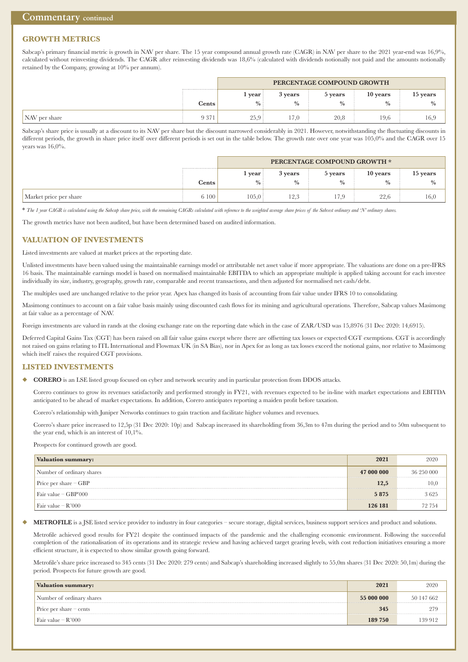## **GROWTH METRICS**

Sabcap's primary financial metric is growth in NAV per share. The 15 year compound annual growth rate (CAGR) in NAV per share to the 2021 year-end was 16,9%, calculated without reinvesting dividends. The CAGR after reinvesting dividends was 18,6% (calculated with dividends notionally not paid and the amounts notionally retained by the Company, growing at 10% per annum).

|               |         | PERCENTAGE COMPOUND GROWTH |             |             |          |               |
|---------------|---------|----------------------------|-------------|-------------|----------|---------------|
|               |         | 1 year.                    | 3 years     | 5 years     | 10 years | 15 years      |
|               | Cents   | $\frac{0}{0}$              | $^{0}/_{0}$ | $^{0}/_{0}$ | $\%$     | $\frac{0}{0}$ |
| NAV per share | 9 3 7 1 | 25.9:                      | 17,0        | 20,8        | 19,6     | 16,9          |

Sabcap's share price is usually at a discount to its NAV per share but the discount narrowed considerably in 2021. However, notwithstanding the fluctuating discounts in different periods, the growth in share price itself over different periods is set out in the table below. The growth rate over one year was 105,0% and the CAGR over 15 years was 16,0%.

|                        |       | PERCENTAGE COMPOUND GROWTH * |             |               |               |               |
|------------------------|-------|------------------------------|-------------|---------------|---------------|---------------|
|                        |       | vear                         | 3 years     | 5 years       | 10 years      | 15 years      |
|                        | Cents | $\%$                         | $^{0}/_{0}$ | $\frac{0}{0}$ | $\frac{0}{0}$ | $\frac{0}{0}$ |
| Market price per share | 6 100 | 105.0:                       | 12.3        | 17,9          | 22,6          | 16,0          |

\* *The 1 year CAGR is calculated using the Sabcap share price, with the remaining CAGRs calculated with reference to the weighted average share prices of the Sabvest ordinary and 'N' ordinary shares.*

The growth metrics have not been audited, but have been determined based on audited information.

#### **VALUATION OF INVESTMENTS**

Listed investments are valued at market prices at the reporting date.

Unlisted investments have been valued using the maintainable earnings model or attributable net asset value if more appropriate. The valuations are done on a pre-IFRS 16 basis. The maintainable earnings model is based on normalised maintainable EBITDA to which an appropriate multiple is applied taking account for each investee individually its size, industry, geography, growth rate, comparable and recent transactions, and then adjusted for normalised net cash/debt.

The multiples used are unchanged relative to the prior year. Apex has changed its basis of accounting from fair value under IFRS 10 to consolidating.

Masimong continues to account on a fair value basis mainly using discounted cash flows for its mining and agricultural operations. Therefore, Sabcap values Masimong at fair value as a percentage of NAV.

Foreign investments are valued in rands at the closing exchange rate on the reporting date which in the case of ZAR/USD was 15,8976 (31 Dec 2020: 14,6915).

Deferred Capital Gains Tax (CGT) has been raised on all fair value gains except where there are offsetting tax losses or expected CGT exemptions. CGT is accordingly not raised on gains relating to ITL International and Flowmax UK (in SA Bias), nor in Apex for as long as tax losses exceed the notional gains, nor relative to Masimong which itself raises the required CGT provisions.

#### **LISTED INVESTMENTS**

u **CORERO** is an LSE listed group focused on cyber and network security and in particular protection from DDOS attacks.

 Corero continues to grow its revenues satisfactorily and performed strongly in FY21, with revenues expected to be in-line with market expectations and EBITDA anticipated to be ahead of market expectations. In addition, Corero anticipates reporting a maiden profit before taxation.

Corero's relationship with Juniper Networks continues to gain traction and facilitate higher volumes and revenues.

 Corero's share price increased to 12,5p (31 Dec 2020: 10p) and Sabcap increased its shareholding from 36,3m to 47m during the period and to 50m subsequent to the year end, which is an interest of  $10,1\%$ .

Prospects for continued growth are good.

| Valuation summary:        | 2021       | 2020       |
|---------------------------|------------|------------|
| Number of ordinary shares | 47 000 000 | 36 250 000 |
| Price per share $-$ GBP   | 12,5       | 10,0       |
| Fair value $-$ GBP'000    | 5875       | 3625       |
| Fair value $-R'000$       | 126 181    | 72 754     |

#### METROFILE is a JSE listed service provider to industry in four categories – secure storage, digital services, business support services and product and solutions.

Metrofile achieved good results for FY21 despite the continued impacts of the pandemic and the challenging economic environment. Following the successful completion of the rationalisation of its operations and its strategic review and having achieved target gearing levels, with cost reduction initiatives ensuring a more efficient structure, it is expected to show similar growth going forward.

Metrofile's share price increased to 345 cents (31 Dec 2020: 279 cents) and Sabcap's shareholding increased slightly to 55,0m shares (31 Dec 2020: 50,1m) during the period. Prospects for future growth are good.

| <b>Valuation summary:</b>       | 2021       | 2020       |
|---------------------------------|------------|------------|
| Number of ordinary shares       | 55 000 000 | 50 147 662 |
| Price per share $-\text{cents}$ | 345        | 279        |
| Fair value $-R'000$             | 189 750    | 139 912    |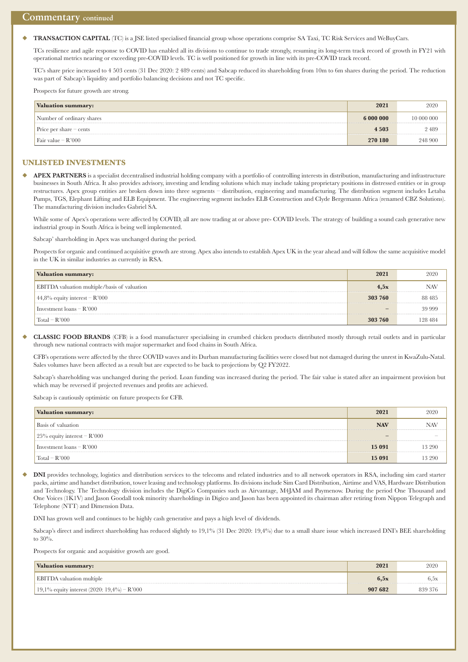#### **TRANSACTION CAPITAL** (TC) is a JSE listed specialised financial group whose operations comprise SA Taxi, TC Risk Services and WeBuyCars.

 TCs resilience and agile response to COVID has enabled all its divisions to continue to trade strongly, resuming its long-term track record of growth in FY21 with operational metrics nearing or exceeding pre-COVID levels. TC is well positioned for growth in line with its pre-COVID track record.

 TC's share price increased to 4 503 cents (31 Dec 2020: 2 489 cents) and Sabcap reduced its shareholding from 10m to 6m shares during the period. The reduction was part of Sabcap's liquidity and portfolio balancing decisions and not TC specific.

Prospects for future growth are strong.

| <b>Valuation summary:</b>        | 2021      | 2020       |
|----------------------------------|-----------|------------|
| Number of ordinary shares        | 6 000 000 | 10 000 000 |
| Price per share $-\text{cents}$  | 4 5 0 3   | 2489       |
| $\frac{1}{2}$ Fair value – R'000 | 270 180   | 248 900    |

#### **UNLISTED INVESTMENTS**

◆ **APEX PARTNERS** is a specialist decentralised industrial holding company with a portfolio of controlling interests in distribution, manufacturing and infrastructure businesses in South Africa. It also provides advisory, investing and lending solutions which may include taking proprietary positions in distressed entities or in group restructures. Apex group entities are broken down into three segments – distribution, engineering and manufacturing. The distribution segment includes Letaba Pumps, TGS, Elephant Lifting and ELB Equipment. The engineering segment includes ELB Construction and Clyde Bergemann Africa (renamed CBZ Solutions). The manufacturing division includes Gabriel SA.

While some of Apex's operations were affected by COVID, all are now trading at or above pre- COVID levels. The strategy of building a sound cash generative new industrial group in South Africa is being well implemented.

Sabcap' shareholding in Apex was unchanged during the period.

Prospects for organic and continued acquisitive growth are strong. Apex also intends to establish Apex UK in the year ahead and will follow the same acquisitive model in the UK in similar industries as currently in RSA.

| Valuation summary:                           | 2021    | 2020    |
|----------------------------------------------|---------|---------|
| EBITDA valuation multiple/basis of valuation | 4,5x    | NAV     |
| $44,8\%$ equity interest – R'000             | 303 760 | 88 485  |
| Investment $\text{loans} - \text{R'}000$     |         | 39 999  |
| $\text{Total} - \text{R'}000$                | 303 760 | 128 484 |

u **CLASSIC FOOD BRANDS** (CFB) is a food manufacturer specialising in crumbed chicken products distributed mostly through retail outlets and in particular through new national contracts with major supermarket and food chains in South Africa.

CFB's operations were affected by the three COVID waves and its Durban manufacturing facilities were closed but not damaged during the unrest in KwaZulu-Natal. Sales volumes have been affected as a result but are expected to be back to projections by Q2 FY2022.

 Sabcap's shareholding was unchanged during the period. Loan funding was increased during the period. The fair value is stated after an impairment provision but which may be reversed if projected revenues and profits are achieved.

Sabcap is cautiously optimistic on future prospects for CFB.

| Valuation summary:                       | 2021       | 2020       |
|------------------------------------------|------------|------------|
| Basis of valuation                       | <b>NAV</b> | <b>NAV</b> |
| 25% equity interest – $R'000$            | -          |            |
| Investment $\text{loans} - \text{R'}000$ | 15 091     | 13 290     |
| $Total - R'000$                          | 15 091     | 13 290     |

DNI provides technology, logistics and distribution services to the telecoms and related industries and to all network operators in RSA, including sim card starter packs, airtime and handset distribution, tower leasing and technology platforms. Its divisions include Sim Card Distribution, Airtime and VAS, Hardware Distribution and Technology. The Technology division includes the DigiCo Companies such as Airvantage, M4JAM and Paymenow. During the period One Thousand and One Voices (1K1V) and Jason Goodall took minority shareholdings in Digico and Jason has been appointed its chairman after retiring from Nippon Telegraph and Telephone (NTT) and Dimension Data.

DNI has grown well and continues to be highly cash generative and pays a high level of dividends.

Sabcap's direct and indirect shareholding has reduced slightly to 19,1% (31 Dec 2020: 19,4%) due to a small share issue which increased DNI's BEE shareholding to 30%.

Prospects for organic and acquisitive growth are good.

| <b>Valuation summary:</b>                     | 2021    | 2020          |
|-----------------------------------------------|---------|---------------|
| <b>EBITDA</b> valuation multiple              | 6.5x    | $_{\rm 0.5x}$ |
| 19,1% equity interest (2020: 19,4%) – $R'000$ | 907 682 | 839 376       |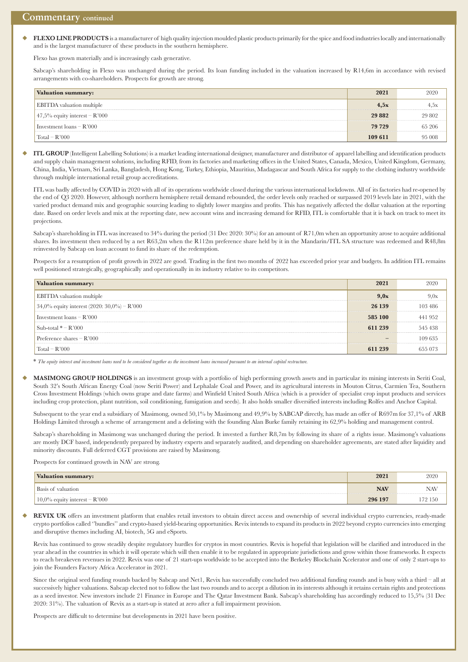u **FLEXO LINE PRODUCTS** is a manufacturer of high quality injection moulded plastic products primarily for the spice and food industries locally and internationally and is the largest manufacturer of these products in the southern hemisphere.

Flexo has grown materially and is increasingly cash generative.

 Sabcap's shareholding in Flexo was unchanged during the period. Its loan funding included in the valuation increased by R14,6m in accordance with revised arrangements with co-shareholders. Prospects for growth are strong.

| <b>Valuation summary:</b>                   | 2021     | 2020   |
|---------------------------------------------|----------|--------|
| <b>EBITDA</b> valuation multiple            | 4.5x     | 4,5х   |
| $\frac{1}{2}$ 47,5% equity interest – R'000 | 29 8 8 2 | 29 802 |
| Investment $\text{loans} - \text{R'}000$    | 79 729   | 65 206 |
| $\text{Total} - \text{R'}000$               | 109 611  | 95 008 |

u **ITL GROUP** (Intelligent Labelling Solutions) is a market leading international designer, manufacturer and distributor of apparel labelling and identification products and supply chain management solutions, including RFID, from its factories and marketing offices in the United States, Canada, Mexico, United Kingdom, Germany, China, India, Vietnam, Sri Lanka, Bangladesh, Hong Kong, Turkey, Ethiopia, Mauritius, Madagascar and South Africa for supply to the clothing industry worldwide through multiple international retail group accreditations.

ITL was badly affected by COVID in 2020 with all of its operations worldwide closed during the various international lockdowns. All of its factories had re-opened by the end of Q3 2020. However, although northern hemisphere retail demand rebounded, the order levels only reached or surpassed 2019 levels late in 2021, with the varied product demand mix and geographic sourcing leading to slightly lower margins and profits. This has negatively affected the dollar valuation at the reporting date. Based on order levels and mix at the reporting date, new account wins and increasing demand for RFID, ITL is comfortable that it is back on track to meet its projections.

 Sabcap's shareholding in ITL was increased to 34% during the period (31 Dec 2020: 30%) for an amount of R71,0m when an opportunity arose to acquire additional shares. Its investment then reduced by a net R63,2m when the R112m preference share held by it in the Mandarin/ITL SA structure was redeemed and R48,8m reinvested by Sabcap on loan account to fund its share of the redemption.

Prospects for a resumption of profit growth in 2022 are good. Trading in the first two months of 2022 has exceeded prior year and budgets. In addition ITL remains well positioned strategically, geographically and operationally in its industry relative to its competitors.

| <b>Valuation summary:</b>                      | 2021                     | 2020    |
|------------------------------------------------|--------------------------|---------|
| <b>EBITDA</b> valuation multiple               | 9,0x                     | 9,0x    |
| 34,0% equity interest $(2020: 30,0\%)$ - R'000 | 26 139                   | 103 486 |
| Investment $\text{loans} - \text{R'}000$       | 585 100                  | 441952  |
| Sub-total $* - R'000$                          | 611 239                  | 545 438 |
| Preference shares $-R'000$                     | $\overline{\phantom{0}}$ | 109 635 |
| $Total - R'000$                                | 611 239                  | 655 073 |

\* *The equity interest and investment loans need to be considered together as the investment loans increased pursuant to an internal capital restructure.*

u **MASIMONG GROUP HOLDINGS** is an investment group with a portfolio of high performing growth assets and in particular its mining interests in Seriti Coal, South 32's South African Energy Coal (now Seriti Power) and Lephalale Coal and Power, and its agricultural interests in Mouton Citrus, Carmien Tea, Southern Cross Investment Holdings (which owns grape and date farms) and Winfield United South Africa (which is a provider of specialist crop input products and services including crop protection, plant nutrition, soil conditioning, fumigation and seeds). It also holds smaller diversified interests including Rolfes and Anchor Capital.

Subsequent to the year end a subsidiary of Masimong, owned 50,1% by Masimong and 49,9% by SABCAP directly, has made an offer of R697m for 37,1% of ARB Holdings Limited through a scheme of arrangement and a delisting with the founding Alan Burke family retaining its 62,9% holding and management control.

 Sabcap's shareholding in Masimong was unchanged during the period. It invested a further R8,7m by following its share of a rights issue. Masimong's valuations are mostly DCF based, independently prepared by industry experts and separately audited, and depending on shareholder agreements, are stated after liquidity and minority discounts. Full deferred CGT provisions are raised by Masimong.

Prospects for continued growth in NAV are strong.

| <b>Valuation summary:</b>        | 2021       | 2020       |
|----------------------------------|------------|------------|
| Basis of valuation               | <b>NAV</b> | NAV        |
| $10,0\%$ equity interest – R'000 | 296 197    | 150<br>79. |

REVIX UK offers an investment platform that enables retail investors to obtain direct access and ownership of several individual crypto currencies, ready-made crypto portfolios called ''bundles'' and crypto-based yield-bearing opportunities. Revix intends to expand its products in 2022 beyond crypto currencies into emerging and disruptive themes including AI, biotech, 5G and eSports.

Revix has continued to grow steadily despite regulatory hurdles for cryptos in most countries. Revix is hopeful that legislation will be clarified and introduced in the year ahead in the countries in which it will operate which will then enable it to be regulated in appropriate jurisdictions and grow within those frameworks. It expects to reach breakeven revenues in 2022. Revix was one of 21 start-ups worldwide to be accepted into the Berkeley Blockchain Xcelerator and one of only 2 start-ups to join the Founders Factory Africa Accelerator in 2021.

 Since the original seed funding rounds backed by Sabcap and Net1, Revix has successfully concluded two additional funding rounds and is busy with a third – all at successively higher valuations. Sabcap elected not to follow the last two rounds and to accept a dilution in its interests although it retains certain rights and protections as a seed investor. New investors include 21 Finance in Europe and The Qatar Investment Bank. Sabcap's shareholding has accordingly reduced to 15,5% (31 Dec 2020: 31%). The valuation of Revix as a start-up is stated at zero after a full impairment provision.

Prospects are difficult to determine but developments in 2021 have been positive.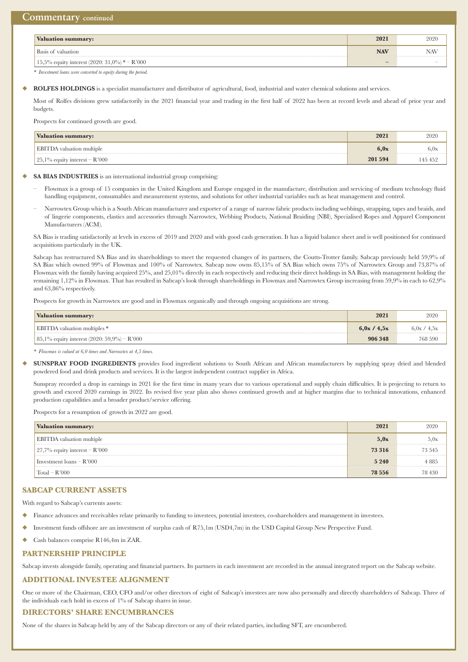| Valuation summary:                              | 2021       | 2020                     |
|-------------------------------------------------|------------|--------------------------|
| Basis of valuation                              | <b>NAV</b> | NAV                      |
| 15,5% equity interest $(2020:31,0\%)$ * – R'000 |            | $\overline{\phantom{a}}$ |

*\* Investment loans were converted to equity during the period.*

ROLFES HOLDINGS is a specialist manufacturer and distributor of agricultural, food, industrial and water chemical solutions and services.

Most of Rolfes divisions grew satisfactorily in the 2021 financial year and trading in the first half of 2022 has been at record levels and ahead of prior year and budgets.

Prospects for continued growth are good.

| <b>Valuation summary:</b>                   | 2021    | 2020    |
|---------------------------------------------|---------|---------|
| <b>EBITDA</b> valuation multiple            | 6.0x    | 6.0x    |
| $\frac{1}{25}$ , 1% equity interest – R'000 | 201 594 | 145 452 |

SA BIAS INDUSTRIES is an international industrial group comprising:

- Flowmax is a group of 15 companies in the United Kingdom and Europe engaged in the manufacture, distribution and servicing of medium technology fluid handling equipment, consumables and measurement systems, and solutions for other industrial variables such as heat management and control.
- Narrowtex Group which is a South African manufacturer and exporter of a range of narrow fabric products including webbings, strapping, tapes and braids, and of lingerie components, elastics and accessories through Narrowtex, Webbing Products, National Braiding (NBI), Specialised Ropes and Apparel Component Manufacturers (ACM).

 SA Bias is trading satisfactorily at levels in excess of 2019 and 2020 and with good cash generation. It has a liquid balance sheet and is well positioned for continued acquisitions particularly in the UK.

 Sabcap has restructured SA Bias and its shareholdings to meet the requested changes of its partners, the Coutts-Trotter family. Sabcap previously held 59,9% of SA Bias which owned 99% of Flowmax and 100% of Narrowtex. Sabcap now owns 85,15% of SA Bias which owns 75% of Narrowtex Group and 73,87% of Flowmax with the family having acquired 25%, and 25,01% directly in each respectively and reducing their direct holdings in SA Bias, with management holding the remaining 1,12% in Flowmax. That has resulted in Sabcap's look through shareholdings in Flowmax and Narrowtex Group increasing from 59,9% in each to 62,9% and 63,86% respectively.

Prospects for growth in Narrowtex are good and in Flowmax organically and through ongoing acquisitions are strong.

| <b>Valuation summary:</b>                      | 2021        | 2020        |
|------------------------------------------------|-------------|-------------|
| <b>EBITDA</b> valuation multiples *            | 6.0x / 4.5x | 6.0x / 4.5x |
| 85,1% equity interest $(2020: 59,9\%)$ – R'000 | 906 348     | 768 590     |

*\* Flowmax is valued at 6,0 times and Narrowtex at 4,5 times.*

**SUNSPRAY FOOD INGREDIENTS** provides food ingredient solutions to South African and African manufacturers by supplying spray dried and blended powdered food and drink products and services. It is the largest independent contract supplier in Africa.

Sunspray recorded a drop in earnings in 2021 for the first time in many years due to various operational and supply chain difficulties. It is projecting to return to growth and exceed 2020 earnings in 2022. Its revised five year plan also shows continued growth and at higher margins due to technical innovations, enhanced production capabilities and a broader product/service offering.

Prospects for a resumption of growth in 2022 are good.

| Valuation summary:                         | 2021     | 2020    |
|--------------------------------------------|----------|---------|
| <b>EBITDA</b> valuation multiple           | 5,0x     | 5,0x    |
| $\frac{1}{27}$ ,7% equity interest – R'000 | 73 316   | 73 545  |
| Investment $\text{loans} - \text{R'}000$   | 5 2 4 0  | 4 8 8 5 |
| $\text{Total} - \text{R'}000$              | 78 5 5 6 | 78 430  |

#### **SABCAP CURRENT ASSETS**

With regard to Sabcap's currents assets:

- u Finance advances and receivables relate primarily to funding to investees, potential investees, co-shareholders and management in investees.
- u Investment funds offshore are an investment of surplus cash of R75,1m (USD4,7m) in the USD Capital Group New Perspective Fund.
- u Cash balances comprise R146,4m in ZAR.

#### **PARTNERSHIP PRINCIPLE**

Sabcap invests alongside family, operating and financial partners. Its partners in each investment are recorded in the annual integrated report on the Sabcap website.

#### **ADDITIONAL INVESTEE ALIGNMENT**

One or more of the Chairman, CEO, CFO and/or other directors of eight of Sabcap's investees are now also personally and directly shareholders of Sabcap. Three of the individuals each hold in excess of 1% of Sabcap shares in issue.

#### **DIRECTORS' SHARE ENCUMBRANCES**

None of the shares in Sabcap held by any of the Sabcap directors or any of their related parties, including SFT, are encumbered.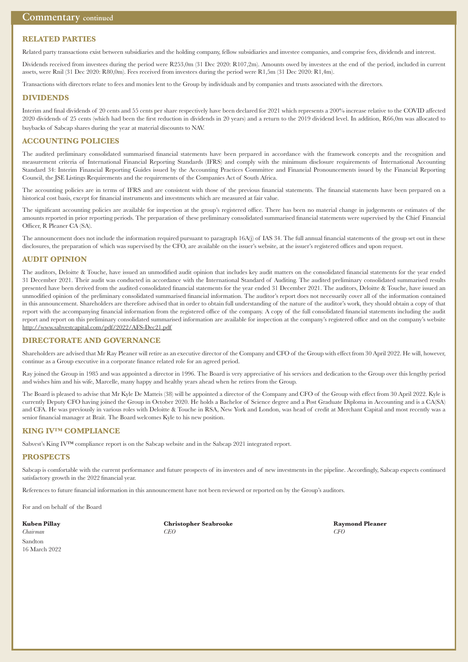#### **RELATED PARTIES**

Related party transactions exist between subsidiaries and the holding company, fellow subsidiaries and investee companies, and comprise fees, dividends and interest.

Dividends received from investees during the period were R253,0m (31 Dec 2020: R107,2m). Amounts owed by investees at the end of the period, included in current assets, were Rnil (31 Dec 2020: R80,0m). Fees received from investees during the period were R1,5m (31 Dec 2020: R1,4m).

Transactions with directors relate to fees and monies lent to the Group by individuals and by companies and trusts associated with the directors.

#### **DIVIDENDS**

Interim and final dividends of 20 cents and 55 cents per share respectively have been declared for 2021 which represents a 200% increase relative to the COVID affected 2020 dividends of 25 cents (which had been the first reduction in dividends in 20 years) and a return to the 2019 dividend level. In addition, R66,0m was allocated to buybacks of Sabcap shares during the year at material discounts to NAV.

#### **ACCOUNTING POLICIES**

The audited preliminary consolidated summarised financial statements have been prepared in accordance with the framework concepts and the recognition and measurement criteria of International Financial Reporting Standards (IFRS) and comply with the minimum disclosure requirements of International Accounting Standard 34: Interim Financial Reporting Guides issued by the Accounting Practices Committee and Financial Pronouncements issued by the Financial Reporting Council, the JSE Listings Requirements and the requirements of the Companies Act of South Africa.

The accounting policies are in terms of IFRS and are consistent with those of the previous financial statements. The financial statements have been prepared on a historical cost basis, except for financial instruments and investments which are measured at fair value.

The significant accounting policies are available for inspection at the group's registered office. There has been no material change in judgements or estimates of the amounts reported in prior reporting periods. The preparation of these preliminary consolidated summarised financial statements were supervised by the Chief Financial Officer, R Pleaner CA (SA).

The announcement does not include the information required pursuant to paragraph 16A(j) of IAS 34. The full annual financial statements of the group set out in these disclosures, the preparation of which was supervised by the CFO, are available on the issuer's website, at the issuer's registered offices and upon request.

#### **AUDIT OPINION**

The auditors, Deloitte & Touche, have issued an unmodified audit opinion that includes key audit matters on the consolidated financial statements for the year ended 31 December 2021. Their audit was conducted in accordance with the International Standard of Auditing. The audited preliminary consolidated summarised results presented have been derived from the audited consolidated financial statements for the year ended 31 December 2021. The auditors, Deloitte & Touche, have issued an unmodified opinion of the preliminary consolidated summarised financial information. The auditor's report does not necessarily cover all of the information contained in this announcement. Shareholders are therefore advised that in order to obtain full understanding of the nature of the auditor's work, they should obtain a copy of that report with the accompanying financial information from the registered office of the company. A copy of the full consolidated financial statements including the audit report and report on this preliminary consolidated summarised information are available for inspection at the company's registered office and on the company's website http://www.sabvestcapital.com/pdf/2022/AFS-Dec21.pdf

#### **DIRECTORATE AND GOVERNANCE**

Shareholders are advised that Mr Ray Pleaner will retire as an executive director of the Company and CFO of the Group with effect from 30 April 2022. He will, however, continue as a Group executive in a corporate finance related role for an agreed period.

Ray joined the Group in 1985 and was appointed a director in 1996. The Board is very appreciative of his services and dedication to the Group over this lengthy period and wishes him and his wife, Marcelle, many happy and healthy years ahead when he retires from the Group.

The Board is pleased to advise that Mr Kyle De Matteis (38) will be appointed a director of the Company and CFO of the Group with effect from 30 April 2022. Kyle is currently Deputy CFO having joined the Group in October 2020. He holds a Bachelor of Science degree and a Post Graduate Diploma in Accounting and is a CA(SA) and CFA. He was previously in various roles with Deloitte & Touche in RSA, New York and London, was head of credit at Merchant Capital and most recently was a senior financial manager at Brait. The Board welcomes Kyle to his new position.

#### **KING IV™ COMPLIANCE**

Sabvest's King IV™ compliance report is on the Sabcap website and in the Sabcap 2021 integrated report.

#### **PROSPECTS**

Sabcap is comfortable with the current performance and future prospects of its investees and of new investments in the pipeline. Accordingly, Sabcap expects continued satisfactory growth in the 2022 financial year.

References to future financial information in this announcement have not been reviewed or reported on by the Group's auditors.

For and on behalf of the Board

**Kuben Pillay Christopher Seabrooke Raymond Pleaner** *Chairman CEO CFO*

Sandton 16 March 2022